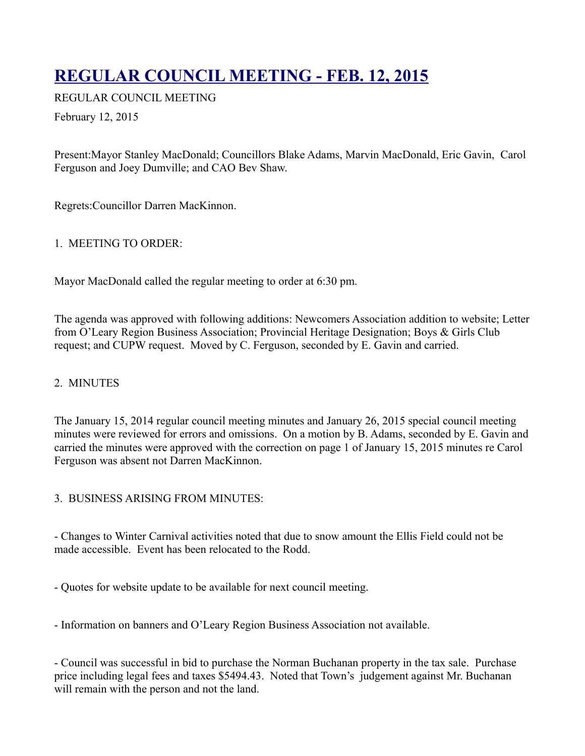# **[REGULAR COUNCIL MEETING - FEB. 12, 2015](http://townofoleary.com/index.php/council-meetings/82-regular-council-meeting-feb-12-2015)**

REGULAR COUNCIL MEETING

February 12, 2015

Present:Mayor Stanley MacDonald; Councillors Blake Adams, Marvin MacDonald, Eric Gavin, Carol Ferguson and Joey Dumville; and CAO Bev Shaw.

Regrets:Councillor Darren MacKinnon.

# 1. MEETING TO ORDER:

Mayor MacDonald called the regular meeting to order at 6:30 pm.

The agenda was approved with following additions: Newcomers Association addition to website; Letter from O'Leary Region Business Association; Provincial Heritage Designation; Boys & Girls Club request; and CUPW request. Moved by C. Ferguson, seconded by E. Gavin and carried.

# 2. MINUTES

The January 15, 2014 regular council meeting minutes and January 26, 2015 special council meeting minutes were reviewed for errors and omissions. On a motion by B. Adams, seconded by E. Gavin and carried the minutes were approved with the correction on page 1 of January 15, 2015 minutes re Carol Ferguson was absent not Darren MacKinnon.

# 3. BUSINESS ARISING FROM MINUTES:

- Changes to Winter Carnival activities noted that due to snow amount the Ellis Field could not be made accessible. Event has been relocated to the Rodd.

- Quotes for website update to be available for next council meeting.

- Information on banners and O'Leary Region Business Association not available.

- Council was successful in bid to purchase the Norman Buchanan property in the tax sale. Purchase price including legal fees and taxes \$5494.43. Noted that Town's judgement against Mr. Buchanan will remain with the person and not the land.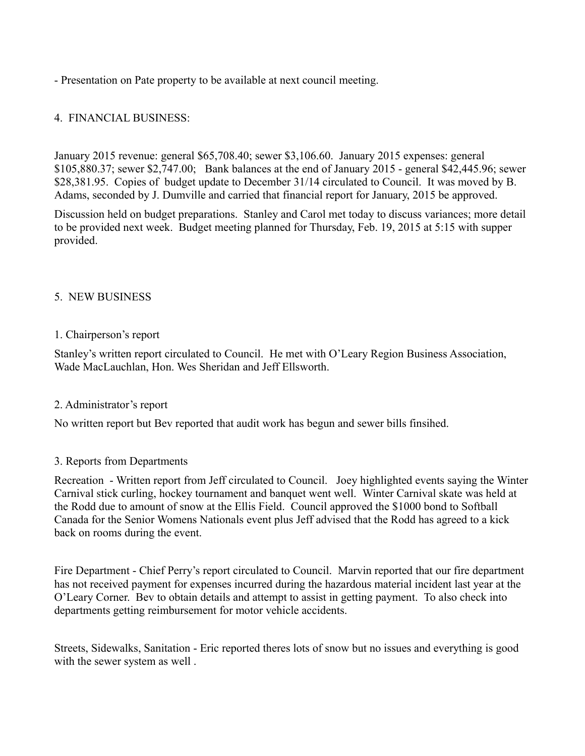- Presentation on Pate property to be available at next council meeting.

## 4. FINANCIAL BUSINESS:

January 2015 revenue: general \$65,708.40; sewer \$3,106.60. January 2015 expenses: general \$105,880.37; sewer \$2,747.00; Bank balances at the end of January 2015 - general \$42,445.96; sewer \$28,381.95. Copies of budget update to December 31/14 circulated to Council. It was moved by B. Adams, seconded by J. Dumville and carried that financial report for January, 2015 be approved.

Discussion held on budget preparations. Stanley and Carol met today to discuss variances; more detail to be provided next week. Budget meeting planned for Thursday, Feb. 19, 2015 at 5:15 with supper provided.

### 5. NEW BUSINESS

#### 1. Chairperson's report

Stanley's written report circulated to Council. He met with O'Leary Region Business Association, Wade MacLauchlan, Hon. Wes Sheridan and Jeff Ellsworth.

#### 2. Administrator's report

No written report but Bev reported that audit work has begun and sewer bills finsihed.

#### 3. Reports from Departments

Recreation - Written report from Jeff circulated to Council. Joey highlighted events saying the Winter Carnival stick curling, hockey tournament and banquet went well. Winter Carnival skate was held at the Rodd due to amount of snow at the Ellis Field. Council approved the \$1000 bond to Softball Canada for the Senior Womens Nationals event plus Jeff advised that the Rodd has agreed to a kick back on rooms during the event.

Fire Department - Chief Perry's report circulated to Council. Marvin reported that our fire department has not received payment for expenses incurred during the hazardous material incident last year at the O'Leary Corner. Bev to obtain details and attempt to assist in getting payment. To also check into departments getting reimbursement for motor vehicle accidents.

Streets, Sidewalks, Sanitation - Eric reported theres lots of snow but no issues and everything is good with the sewer system as well .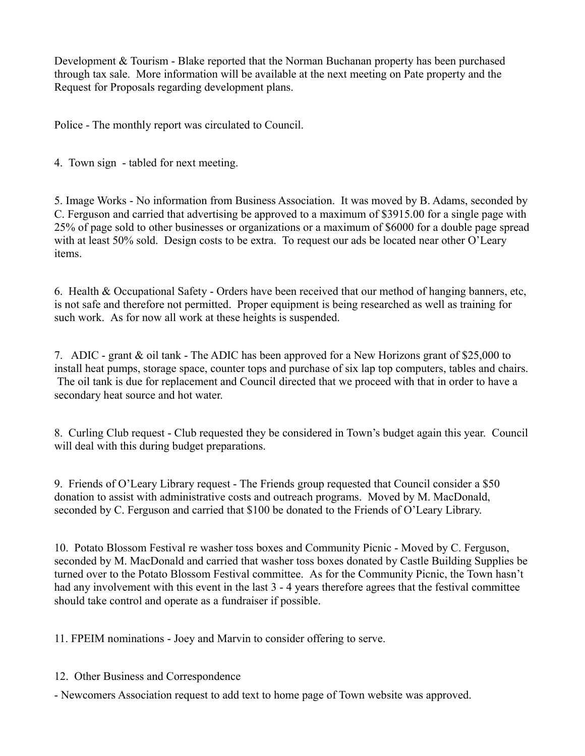Development & Tourism - Blake reported that the Norman Buchanan property has been purchased through tax sale. More information will be available at the next meeting on Pate property and the Request for Proposals regarding development plans.

Police - The monthly report was circulated to Council.

4. Town sign - tabled for next meeting.

5. Image Works - No information from Business Association. It was moved by B. Adams, seconded by C. Ferguson and carried that advertising be approved to a maximum of \$3915.00 for a single page with 25% of page sold to other businesses or organizations or a maximum of \$6000 for a double page spread with at least 50% sold. Design costs to be extra. To request our ads be located near other O'Leary items.

6. Health & Occupational Safety - Orders have been received that our method of hanging banners, etc, is not safe and therefore not permitted. Proper equipment is being researched as well as training for such work. As for now all work at these heights is suspended.

7. ADIC - grant & oil tank - The ADIC has been approved for a New Horizons grant of \$25,000 to install heat pumps, storage space, counter tops and purchase of six lap top computers, tables and chairs. The oil tank is due for replacement and Council directed that we proceed with that in order to have a secondary heat source and hot water.

8. Curling Club request - Club requested they be considered in Town's budget again this year. Council will deal with this during budget preparations.

9. Friends of O'Leary Library request - The Friends group requested that Council consider a \$50 donation to assist with administrative costs and outreach programs. Moved by M. MacDonald, seconded by C. Ferguson and carried that \$100 be donated to the Friends of O'Leary Library.

10. Potato Blossom Festival re washer toss boxes and Community Picnic - Moved by C. Ferguson, seconded by M. MacDonald and carried that washer toss boxes donated by Castle Building Supplies be turned over to the Potato Blossom Festival committee. As for the Community Picnic, the Town hasn't had any involvement with this event in the last 3 - 4 years therefore agrees that the festival committee should take control and operate as a fundraiser if possible.

11. FPEIM nominations - Joey and Marvin to consider offering to serve.

12. Other Business and Correspondence

- Newcomers Association request to add text to home page of Town website was approved.